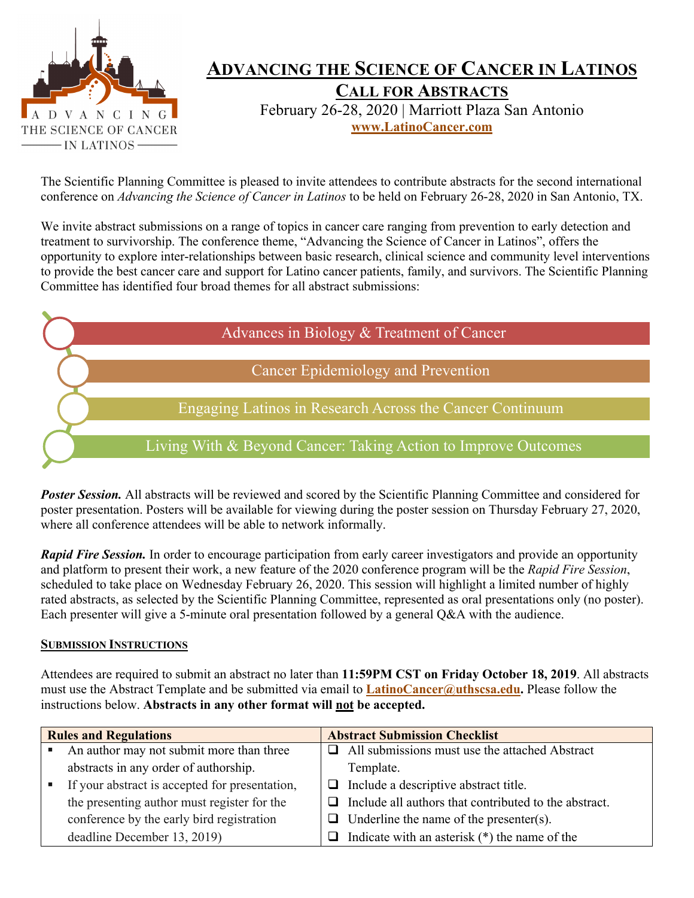

# **ADVANCING THE SCIENCE OF CANCER IN LATINOS**

**CALL FOR ABSTRACTS** February 26-28, 2020 | Marriott Plaza San Antonio **www.LatinoCancer.com**

The Scientific Planning Committee is pleased to invite attendees to contribute abstracts for the second international conference on *Advancing the Science of Cancer in Latinos* to be held on February 26-28, 2020 in San Antonio, TX.

We invite abstract submissions on a range of topics in cancer care ranging from prevention to early detection and treatment to survivorship. The conference theme, "Advancing the Science of Cancer in Latinos", offers the opportunity to explore inter-relationships between basic research, clinical science and community level interventions to provide the best cancer care and support for Latino cancer patients, family, and survivors. The Scientific Planning Committee has identified four broad themes for all abstract submissions:

| Advances in Biology & Treatment of Cancer                      |
|----------------------------------------------------------------|
| Cancer Epidemiology and Prevention                             |
| Engaging Latinos in Research Across the Cancer Continuum       |
| Living With & Beyond Cancer: Taking Action to Improve Outcomes |

**Poster Session.** All abstracts will be reviewed and scored by the Scientific Planning Committee and considered for poster presentation. Posters will be available for viewing during the poster session on Thursday February 27, 2020, where all conference attendees will be able to network informally.

*Rapid Fire Session.* In order to encourage participation from early career investigators and provide an opportunity and platform to present their work, a new feature of the 2020 conference program will be the *Rapid Fire Session*, scheduled to take place on Wednesday February 26, 2020. This session will highlight a limited number of highly rated abstracts, as selected by the Scientific Planning Committee, represented as oral presentations only (no poster). Each presenter will give a 5-minute oral presentation followed by a general Q&A with the audience.

#### **SUBMISSION INSTRUCTIONS**

Attendees are required to submit an abstract no later than **11:59PM CST on Friday October 18, 2019**. All abstracts must use the Abstract Template and be submitted via email to **LatinoCancer@uthscsa.edu.** Please follow the instructions below. **Abstracts in any other format will not be accepted.**

| <b>Rules and Regulations</b> |                                                | <b>Abstract Submission Checklist</b> |                                                       |
|------------------------------|------------------------------------------------|--------------------------------------|-------------------------------------------------------|
| ٠                            | An author may not submit more than three       |                                      | $\Box$ All submissions must use the attached Abstract |
|                              | abstracts in any order of authorship.          |                                      | Template.                                             |
|                              | If your abstract is accepted for presentation, |                                      | $\Box$ Include a descriptive abstract title.          |
|                              | the presenting author must register for the    | ப                                    | Include all authors that contributed to the abstract. |
|                              | conference by the early bird registration      |                                      | $\Box$ Underline the name of the presenter(s).        |
|                              | deadline December 13, 2019)                    |                                      | $\Box$ Indicate with an asterisk (*) the name of the  |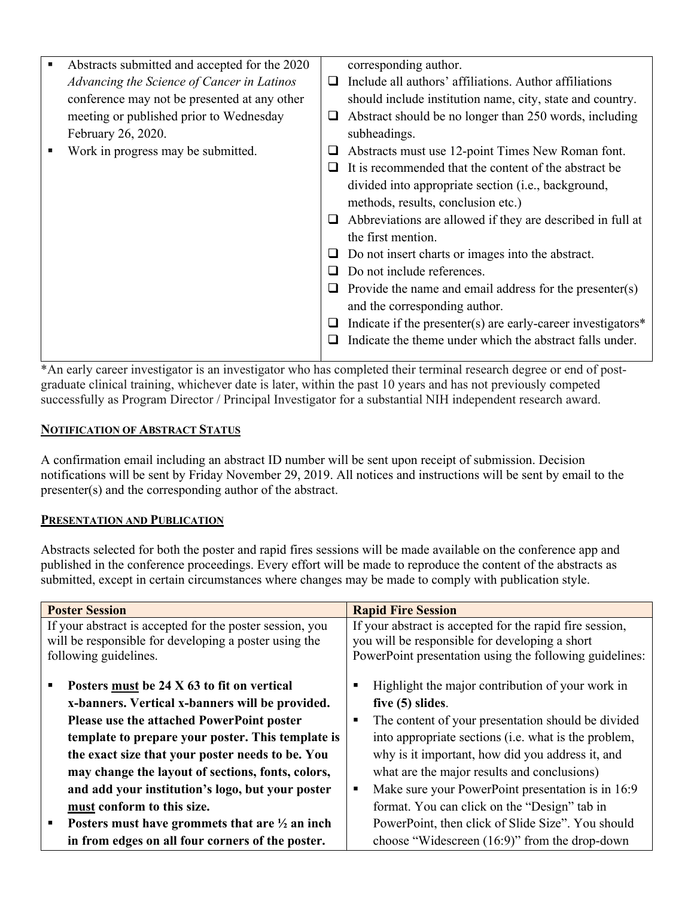| ш | Abstracts submitted and accepted for the 2020 |   | corresponding author.                                           |
|---|-----------------------------------------------|---|-----------------------------------------------------------------|
|   | Advancing the Science of Cancer in Latinos    | □ | Include all authors' affiliations. Author affiliations          |
|   | conference may not be presented at any other  |   | should include institution name, city, state and country.       |
|   | meeting or published prior to Wednesday       | ⊔ | Abstract should be no longer than 250 words, including          |
|   | February 26, 2020.                            |   | subheadings.                                                    |
|   | Work in progress may be submitted.            | ⊔ | Abstracts must use 12-point Times New Roman font.               |
|   |                                               |   | It is recommended that the content of the abstract be           |
|   |                                               |   | divided into appropriate section (i.e., background,             |
|   |                                               |   | methods, results, conclusion etc.)                              |
|   |                                               | ⊔ | Abbreviations are allowed if they are described in full at      |
|   |                                               |   | the first mention.                                              |
|   |                                               | ⊔ | Do not insert charts or images into the abstract.               |
|   |                                               |   | Do not include references.                                      |
|   |                                               | ⊔ | Provide the name and email address for the presenter(s)         |
|   |                                               |   | and the corresponding author.                                   |
|   |                                               | ⊔ | Indicate if the presenter(s) are early-career investigators $*$ |
|   |                                               |   | Indicate the theme under which the abstract falls under.        |
|   |                                               |   |                                                                 |

\*An early career investigator is an investigator who has completed their terminal research degree or end of postgraduate clinical training, whichever date is later, within the past 10 years and has not previously competed successfully as Program Director / Principal Investigator for a substantial NIH independent research award.

### **NOTIFICATION OF ABSTRACT STATUS**

A confirmation email including an abstract ID number will be sent upon receipt of submission. Decision notifications will be sent by Friday November 29, 2019. All notices and instructions will be sent by email to the presenter(s) and the corresponding author of the abstract.

#### **PRESENTATION AND PUBLICATION**

Abstracts selected for both the poster and rapid fires sessions will be made available on the conference app and published in the conference proceedings. Every effort will be made to reproduce the content of the abstracts as submitted, except in certain circumstances where changes may be made to comply with publication style.

| <b>Poster Session</b>                                     | <b>Rapid Fire Session</b>                                |  |
|-----------------------------------------------------------|----------------------------------------------------------|--|
| If your abstract is accepted for the poster session, you  | If your abstract is accepted for the rapid fire session, |  |
| will be responsible for developing a poster using the     | you will be responsible for developing a short           |  |
| following guidelines.                                     | PowerPoint presentation using the following guidelines:  |  |
| Posters must be 24 X 63 to fit on vertical                | Highlight the major contribution of your work in<br>п    |  |
| x-banners. Vertical x-banners will be provided.           | five $(5)$ slides.                                       |  |
| Please use the attached PowerPoint poster                 | The content of your presentation should be divided<br>п  |  |
| template to prepare your poster. This template is         | into appropriate sections (i.e. what is the problem,     |  |
| the exact size that your poster needs to be. You          | why is it important, how did you address it, and         |  |
| may change the layout of sections, fonts, colors,         | what are the major results and conclusions)              |  |
| and add your institution's logo, but your poster          | Make sure your PowerPoint presentation is in 16:9<br>٠   |  |
| must conform to this size.                                | format. You can click on the "Design" tab in             |  |
| Posters must have grommets that are $\frac{1}{2}$ an inch | PowerPoint, then click of Slide Size". You should        |  |
| in from edges on all four corners of the poster.          | choose "Widescreen (16:9)" from the drop-down            |  |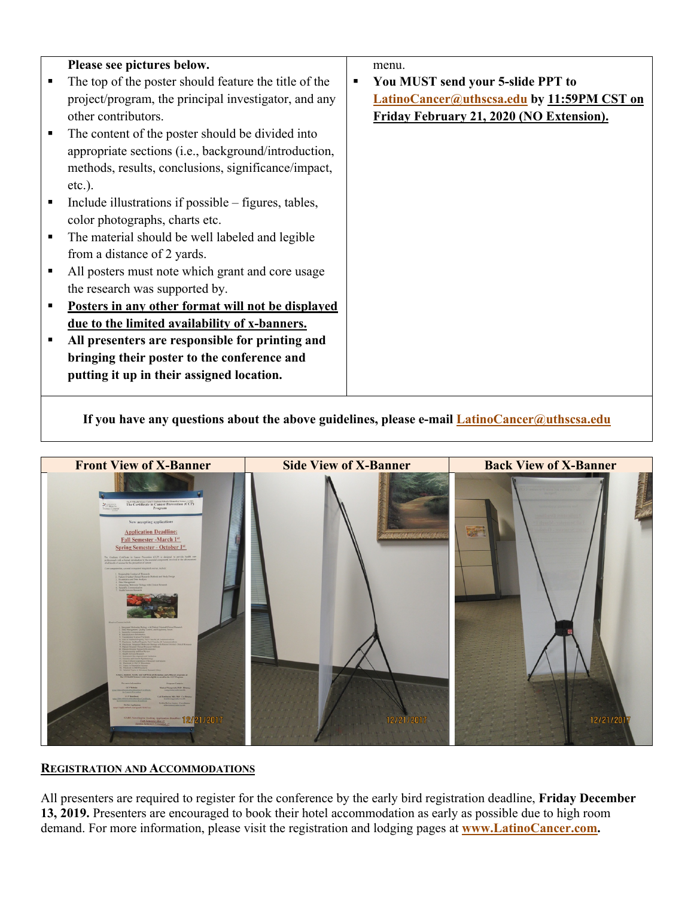|                | Please see pictures below.                            |   | menu.                                             |
|----------------|-------------------------------------------------------|---|---------------------------------------------------|
|                | The top of the poster should feature the title of the | ٠ | You MUST send your 5-slide PPT to                 |
|                | project/program, the principal investigator, and any  |   | <b>LatinoCancer@uthscsa.edu by 11:59PM CST on</b> |
|                | other contributors.                                   |   | Friday February 21, 2020 (NO Extension).          |
|                | The content of the poster should be divided into      |   |                                                   |
|                | appropriate sections (i.e., background/introduction,  |   |                                                   |
|                | methods, results, conclusions, significance/impact,   |   |                                                   |
|                | $etc.$ ).                                             |   |                                                   |
|                | Include illustrations if possible – figures, tables,  |   |                                                   |
|                | color photographs, charts etc.                        |   |                                                   |
| $\blacksquare$ | The material should be well labeled and legible       |   |                                                   |
|                | from a distance of 2 yards.                           |   |                                                   |
|                | All posters must note which grant and core usage      |   |                                                   |
|                | the research was supported by.                        |   |                                                   |
|                | Posters in any other format will not be displayed     |   |                                                   |
|                | due to the limited availability of x-banners.         |   |                                                   |
|                | All presenters are responsible for printing and       |   |                                                   |
|                | bringing their poster to the conference and           |   |                                                   |
|                | putting it up in their assigned location.             |   |                                                   |
|                |                                                       |   |                                                   |

**If you have any questions about the above guidelines, please e-mail LatinoCancer@uthscsa.edu**



#### **REGISTRATION AND ACCOMMODATIONS**

All presenters are required to register for the conference by the early bird registration deadline, **Friday December 13, 2019.** Presenters are encouraged to book their hotel accommodation as early as possible due to high room demand. For more information, please visit the registration and lodging pages at **www.LatinoCancer.com.**